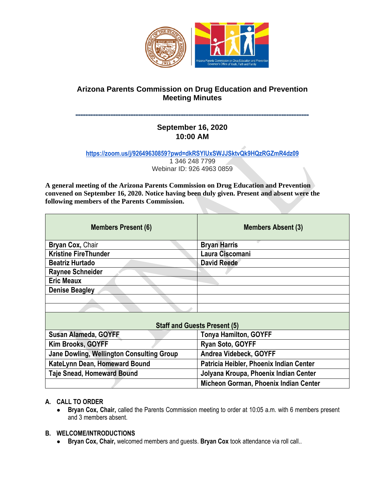

# **Arizona Parents Commission on Drug Education and Prevention Meeting Minutes**

## **˭˭˭˭˭˭˭˭˭˭˭˭˭˭˭˭˭˭˭˭˭˭˭˭˭˭˭˭˭˭˭˭˭˭˭˭˭˭˭˭˭˭˭˭˭˭˭˭˭˭˭˭˭˭˭˭˭˭˭˭˭˭˭˭˭˭˭˭˭˭˭˭˭˭˭˭˭˭˭˭˭˭˭˭˭˭˭˭˭˭˭˭˭ September 16, 2020 10:00 AM**

**<https://zoom.us/j/92649630859?pwd=dkRSYlUxSWJJSktvQk9HQzRGZmR4dz09>** 1 346 248 7799

Webinar ID: 926 4963 0859

**A general meeting of the Arizona Parents Commission on Drug Education and Prevention convened on September 16, 2020. Notice having been duly given. Present and absent were the following members of the Parents Commission.** 

| <b>Members Present (6)</b>                | <b>Members Absent (3)</b>               |
|-------------------------------------------|-----------------------------------------|
| Bryan Cox, Chair                          | <b>Bryan Harris</b>                     |
| <b>Kristine FireThunder</b>               | Laura Ciscomani                         |
| <b>Beatriz Hurtado</b>                    | <b>David Reede</b>                      |
| <b>Raynee Schneider</b>                   |                                         |
| <b>Eric Meaux</b>                         |                                         |
| <b>Denise Beagley</b>                     |                                         |
|                                           |                                         |
|                                           |                                         |
| <b>Staff and Guests Present (5)</b>       |                                         |
| Susan Alameda, GOYFF                      | Tonya Hamilton, GOYFF                   |
| Kim Brooks, GOYFF                         | Ryan Soto, GOYFF                        |
| Jane Dowling, Wellington Consulting Group | Andrea Videbeck, GOYFF                  |
| KateLynn Dean, Homeward Bound             | Patricia Heibler, Phoenix Indian Center |
| <b>Taje Snead, Homeward Bound</b>         | Jolyana Kroupa, Phoenix Indian Center   |
|                                           | Micheon Gorman, Phoenix Indian Center   |

# **A. CALL TO ORDER**

● **Bryan Cox, Chair,** called the Parents Commission meeting to order at 10:05 a.m. with 6 members present and 3 members absent.

### **B. WELCOME/INTRODUCTIONS**

● **Bryan Cox, Chair,** welcomed members and guests. **Bryan Cox** took attendance via roll call..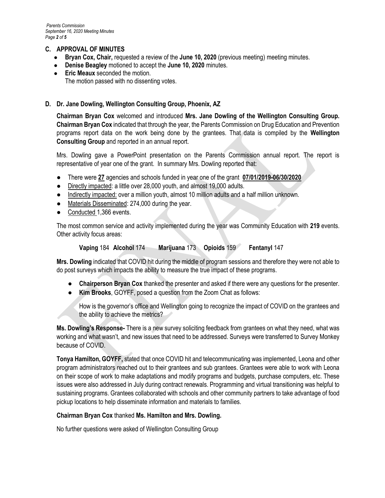## **C. APPROVAL OF MINUTES**

- **Bryan Cox, Chair,** requested a review of the **June 10, 2020** (previous meeting) meeting minutes.
- **Denise Beagley motioned to accept the June 10, 2020 minutes.**
- **Eric Meaux** seconded the motion. The motion passed with no dissenting votes.

#### **D. Dr. Jane Dowling, Wellington Consulting Group, Phoenix, AZ**

**Chairman Bryan Cox** welcomed and introduced **Mrs. Jane Dowling of the Wellington Consulting Group. Chairman Bryan Cox** indicated that through the year, the Parents Commission on Drug Education and Prevention programs report data on the work being done by the grantees. That data is compiled by the **Wellington Consulting Group** and reported in an annual report.

Mrs. Dowling gave a PowerPoint presentation on the Parents Commission annual report. The report is representative of year one of the grant. In summary Mrs. Dowling reported that:

- There were **27** agencies and schools funded in year one of the grant **07/01/2019-06/30/2020**
- Directly impacted: a little over 28,000 youth, and almost 19,000 adults.
- Indirectly impacted: over a million youth, almost 10 million adults and a half million unknown.
- Materials Disseminated: 274,000 during the year.
- Conducted 1,366 events.

The most common service and activity implemented during the year was Community Education with **219** events. Other activity focus areas:

**Vaping** 184 **Alcohol** 174 **Marijuana** 173 **Opioids** 159 **Fentanyl** 147

**Mrs. Dowling** indicated that COVID hit during the middle of program sessions and therefore they were not able to do post surveys which impacts the ability to measure the true impact of these programs.

- **Chairperson Bryan Cox** thanked the presenter and asked if there were any questions for the presenter.
- **Kim Brooks**, GOYFF, posed a question from the Zoom Chat as follows:

How is the governor's office and Wellington going to recognize the impact of COVID on the grantees and the ability to achieve the metrics?

**Ms. Dowling's Response-** There is a new survey soliciting feedback from grantees on what they need, what was working and what wasn't, and new issues that need to be addressed. Surveys were transferred to Survey Monkey because of COVID.

**Tonya Hamilton, GOYFF,** stated that once COVID hit and telecommunicating was implemented, Leona and other program administrators reached out to their grantees and sub grantees. Grantees were able to work with Leona on their scope of work to make adaptations and modify programs and budgets, purchase computers, etc. These issues were also addressed in July during contract renewals. Programming and virtual transitioning was helpful to sustaining programs. Grantees collaborated with schools and other community partners to take advantage of food pickup locations to help disseminate information and materials to families.

#### **Chairman Bryan Cox** thanked **Ms. Hamilton and Mrs. Dowling.**

No further questions were asked of Wellington Consulting Group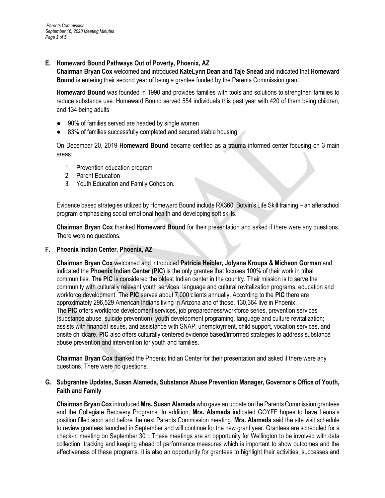#### **E. Homeward Bound Pathways Out of Poverty, Phoenix, AZ**

**Chairman Bryan Cox** welcomed and introduced **KateLynn Dean and Taje Snead** and indicated that **Homeward Bound** is entering their second year of being a grantee funded by the Parents Commission grant.

**Homeward Bound** was founded in 1990 and provides families with tools and solutions to strengthen families to reduce substance use. Homeward Bound served 554 individuals this past year with 420 of them being children, and 134 being adults

- 90% of families served are headed by single women
- 83% of families successfully completed and secured stable housing

On December 20, 2019 **Homeward Bound** became certified as a trauma informed center focusing on 3 main areas:

- 1. Prevention education program
- 2. Parent Education
- 3. Youth Education and Family Cohesion.

Evidence based strategies utilized by Homeward Bound include RX360, Botvin's Life Skill training – an afterschool program emphasizing social emotional health and developing soft skills.

**Chairman Bryan Cox** thanked **Homeward Bound** for their presentation and asked if there were any questions. There were no questions.

#### **F. Phoenix Indian Center, Phoenix, AZ**

**Chairman Bryan Cox** welcomed and introduced **Patricia Heibler, Jolyana Kroupa & Micheon Gorman** and indicated the **Phoenix Indian Center (PIC)** is the only grantee that focuses 100% of their work in tribal communities. **The PIC** is considered the oldest Indian center in the country. Their mission is to serve the community with culturally relevant youth services, language and cultural revitalization programs, education and workforce development. The **PIC** serves about 7,000 clients annually. According to the **PIC** there are approximately 296,529 American Indians living in Arizona and of those, 130,364 live in Phoenix. The **PIC** offers workforce development services, job preparedness/workforce series, prevention services (substance abuse, suicide prevention), youth development programing, language and culture revitalization; assists with financial issues, and assistance with SNAP, unemployment, child support, vocation services, and onsite childcare. **PIC** also offers culturally centered evidence based/informed strategies to address substance abuse prevention and intervention for youth and families.

**Chairman Bryan Cox** thanked the Phoenix Indian Center for their presentation and asked if there were any questions. There were no questions.

### **G. Subgrantee Updates, Susan Alameda, Substance Abuse Prevention Manager, Governor's Office of Youth, Faith and Family**

**Chairman Bryan Cox** introduced **Mrs. Susan Alameda** who gave an update on the Parents Commission grantees and the Collegiate Recovery Programs. In addition, **Mrs. Alameda** indicated GOYFF hopes to have Leona's position filled soon and before the next Parents Commission meeting. **Mrs. Alameda** said the site visit schedule to review grantees launched in September and will continue for the new grant year. Grantees are scheduled for a check-in meeting on September 30<sup>th</sup>. These meetings are an opportunity for Wellington to be involved with data collection, tracking and keeping ahead of performance measures which is important to show outcomes and the effectiveness of these programs. It is also an opportunity for grantees to highlight their activities, successes and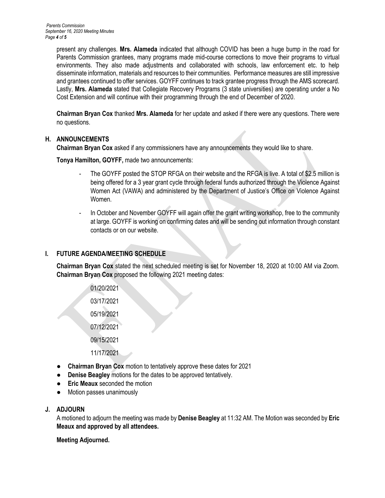present any challenges. **Mrs. Alameda** indicated that although COVID has been a huge bump in the road for Parents Commission grantees, many programs made mid-course corrections to move their programs to virtual environments. They also made adjustments and collaborated with schools, law enforcement etc. to help disseminate information, materials and resources to their communities. Performance measures are still impressive and grantees continued to offer services. GOYFF continues to track grantee progress through the AMS scorecard. Lastly, **Mrs. Alameda** stated that Collegiate Recovery Programs (3 state universities) are operating under a No Cost Extension and will continue with their programming through the end of December of 2020.

**Chairman Bryan Cox** thanked **Mrs. Alameda** for her update and asked if there were any questions. There were no questions.

### **H. ANNOUNCEMENTS**

**Chairman Bryan Cox** asked if any commissioners have any announcements they would like to share.

**Tonya Hamilton, GOYFF,** made two announcements:

- The GOYFF posted the STOP RFGA on their website and the RFGA is live. A total of \$2.5 million is being offered for a 3 year grant cycle through federal funds authorized through the Violence Against Women Act (VAWA) and administered by the Department of Justice's Office on Violence Against Women.
- In October and November GOYFF will again offer the grant writing workshop, free to the community at large. GOYFF is working on confirming dates and will be sending out information through constant contacts or on our website.

### **I. FUTURE AGENDA/MEETING SCHEDULE**

**Chairman Bryan Cox** stated the next scheduled meeting is set for November 18, 2020 at 10:00 AM via Zoom. **Chairman Bryan Cox** proposed the following 2021 meeting dates:

> 01/20/2021 03/17/2021 05/19/2021 07/12/2021 09/15/2021

- 11/17/2021
- **Chairman Bryan Cox** motion to tentatively approve these dates for 2021
- **Denise Beagley** motions for the dates to be approved tentatively.
- **Eric Meaux** seconded the motion
- Motion passes unanimously

### **J. ADJOURN**

A motioned to adjourn the meeting was made by **Denise Beagley** at 11:32 AM. The Motion was seconded by **Eric Meaux and approved by all attendees.**

**Meeting Adjourned.**